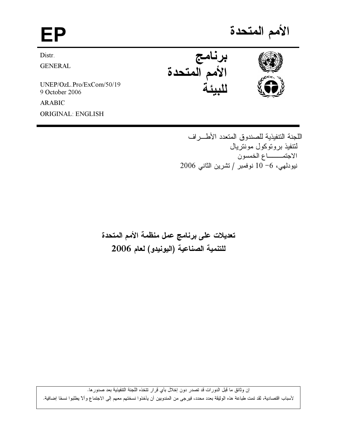# EP

Distr.

**GENERAL** 

UNEP/OzL.Pro/ExCom/50/19 9 October 2006

**ARABIC ORIGINAL: ENGLISH** 

الأمم المتحدة





اللجنة التنفيذية للصندوق المتعدد الأطـــراف لتتفيذ بروتوكول مونتريال الاجتمــــــــاع الخمسون نيودلمي، 6-10 نوفمبر / تشرين الثاني 2006

تعديلات على برنامج عمل منظمة الأمم المتحدة للتنمية الصناعية (اليونيدو) لعام 2006

إن وثائق ما قبل الدورات قد تصدر دون إخلال بأي قرار تتخذه اللجنة التتفيذية بعد صدورها. لأسباب اقتصادية، لقد تمت طباعة هذه الوثيقة بعدد محدد، فيرجى من المندوبين أن يأخذوا نسختهم معهم إلى الاجتماع وألآ يطلبوا نسخًا إضافية.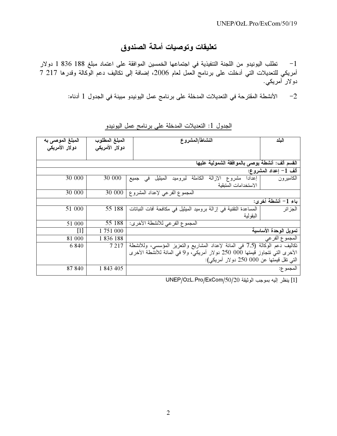## تعليقات وتوصيات أمانة الصندوق

1– تطلب اليونيدو من اللجنة التنفيذية في اجتماعها الخمسين الموافقة على اعتماد مبلغ 188 336 1 دولار أمريكي للتعديلات التي أدخلت على برنامج العمل لعام 2006، إضافة إلى تكاليف دعم الوكالة وقدرها 217 7 دو لار <sup>آ</sup>مريکي.

2– الأنشطة المقترحة في التعديلات المدخلة على برنامج عمل اليونيدو مبينة في الجدول 1 أدناه:

| المبلغ الموصى به                               | المبلغ المطلوب | البلد<br>النشاط/المشروع                                                          |
|------------------------------------------------|----------------|----------------------------------------------------------------------------------|
| دو لار الأمريكي                                | دولار الأمريكي |                                                                                  |
|                                                |                |                                                                                  |
|                                                |                |                                                                                  |
| القسم ألف: أنشطة يوصى بالموافقة الشمولية عليها |                |                                                                                  |
| ألف $\overline{1}$  عداد المشروع:              |                |                                                                                  |
| 30 000                                         | 30 000         | الكاملة<br>إعدادا مشروع الإزالة<br>الميثيل<br>لبروميد<br>الكاميرون<br>في<br>جميع |
|                                                |                | الاستخدامات المتبقية                                                             |
| 30 000                                         | 30 000         | المجموع الفرعي لإعداد المشروع                                                    |
| باء 1– أنشطة أخرى:                             |                |                                                                                  |
| 51 000                                         | 55 188         | المساعدة النقنية في إزالة بروميد الميثيل في مكافحة أفات النباتات<br>الجزائر      |
|                                                |                | البقولية                                                                         |
| 51 000                                         | 55 188         | المجموع الفرعي للأنشطة الأخرى:                                                   |
| $[1]$                                          | 1751000        | تمويل الوحدة الأساسبة                                                            |
| 81 000                                         | 1836188        | المجموع الفرعي                                                                   |
| 6 8 4 0                                        | 7 2 1 7        | نكاليف دعم الوكالة (7,5 في المائة لإعداد المشاريع والنعزيز المؤسسي، وللأنشطة     |
|                                                |                | الأخرى التي نتجاوز قيمتها 000 250 دولار أمريكي، و9 في المائة للأنشطة الأخرى      |
|                                                |                | التبي نقل قيمتها عن 000 250 دولار أمريكي):                                       |
| 87 840                                         | 1 843 405      | المجموع:                                                                         |

الجدول 1: التعديلات المدخلة على برنامج عمل اليونيدو

[1] ينظر إليه بموجب الوثيقة UNEP/OzL.Pro/ExCom/50/20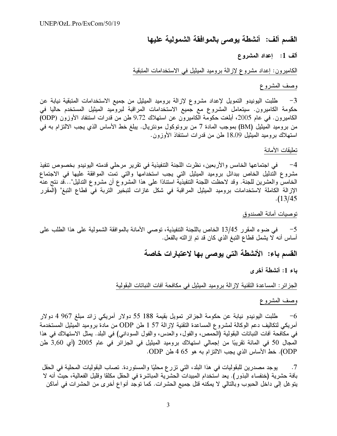القسم ألف: أنشطة يوصى بالموافقة الشمولية عليها

### ألف 1: إعداد المشروع

الكاميرون: إعداد مشروع لإزالة بروميد الميثيل في الاستخدامات المتبقية

#### وصف المشروع

3− طلبت اليونيدو التمويل لإعداد مشروع لإزالة بروميد الميثيل من جميع الاستخدامات المتبقية نيابة عن حكومة الكاميرون. سيتعامل المشروع مع جميع الاستخدامات المراقبة لبروميد الميثيل المستخدم حاليا في الكاميرون. في عام 2005، أبلغت حكومة الكاميرون عن استهلاك 9,72 طن من قدرات استنفاد الأوزون (ODP) من بروميد الميثيل (BM) بموجب المادة 7 من بروتوكول مونتريال. يبلغ خط الأساس الذي يجب الالتزام به في استهلاك بروميد الميثيل 18,09 طن من قدرات استنفاذ الأوزون.

تعليقات الأمانة

في اجتماعها الخامس والأربعين، نظرت اللجنة التنفيذية في تقرير مرحلي قدمته اليونيدو بخصوص تنفيذ  $-4$ مشروع التدليل الخاص ببدائل بروميد الميثيل التي يجب استخدامها والتي تمت الموافقة عليها في الاجتماع الخامس والعشرين للجنة. وقد لاحظت اللجنة التنفيذية استنادًا على هذا المشروع أن مشروع التدليل"…قد نتج عنه الإزالة الكاملة لاستخدامات بروميد الميثيل المراقبة في شكل غازات لتبخير التربة في قطاع التبغ" (المقرر  $(13/45$ 

توصيات أمانة الصندوق

5− في ضوء المقرر 13/45 الخاص باللجنة التنفيذية، توصبي الأمانة بالموافقة الشمولية على هذا الطلب على أساس أنه لا يشمل قطاع النبغ الذي كان قد تم إز الته بالفعل.

القسم باء: الأنشطة التي يوصى بها لاعتبارات خاصة

باء 1: أنشطة أخرى

الجز ائر : المساعدة التقنية لإز الة بروميد الميثيل في مكافحة آفات النباتات البقولية

وصف المشروع

طلبت اليونيدو نيابة عن حكومة الجزائر تمويل بقيمة 188 55 دولار أمريكي زائد مبلغ 967 4 دولار  $-6$ أمريكي لتكاليف دعم الوكالة لمشروع المساعدة التقنية لإزالة 57 l طن ODP من مادة بروميد الميثيل المستخدمة في مكافحة أفات النباتات البقولية (الحمص، والفول، والعدس، والفول السوداني) في البلد. يمثل الاستهلاك في هذا المجال 50 في المائة تقريبًا من إجمالي استهلاك بروميد الميثيل في الجزائر في عام 2005 (أي 3,60 طن ODP). خط الأساس الذي يجب الالتزام به هو 4 65 طن ODP.

يوجد مصدرين للبقوليات في هذا البلد، التي تزرع محليًا والمستوردة. تصاب البقوليات المحلية في الحقل  $\cdot$ .7 بآفة حشرية (خنفساء البذور ). يعد استخدام المبيدات الحشرية المباشرة في الحقل مكلَّقًا وقليل الفعالية، حيث أنه لا يتوغل إلى داخل الحبوب وبالتالي لا يمكنه قتل جميع الحشرات. كما توجد أنواع أخرى من الحشرات في أماكن